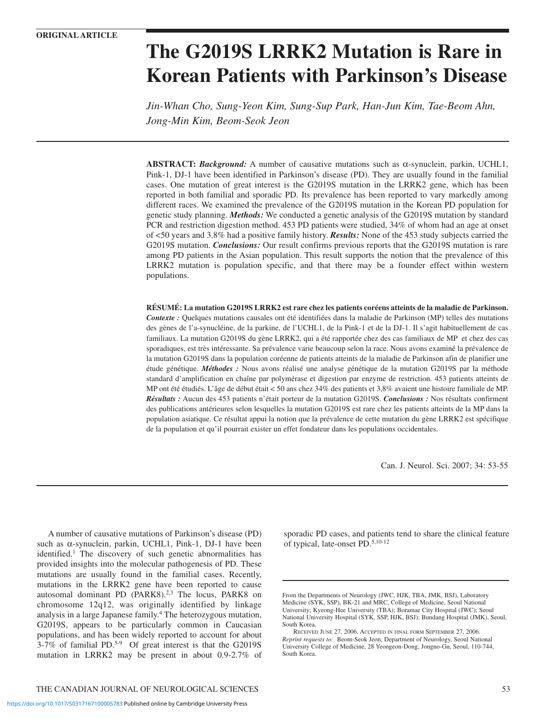# **The G2019S LRRK2 Mutation is Rare in Korean Patients with Parkinson's Disease**

*Jin-Whan Cho, Sung-Yeon Kim, Sung-Sup Park, Han-Jun Kim, Tae-Beom Ahn, Jong-Min Kim, Beom-Seok Jeon* 

**ABSTRACT:** *Background:* A number of causative mutations such as α-synuclein, parkin, UCHL1, Pink-1, DJ-1 have been identified in Parkinson's disease (PD). They are usually found in the familial cases. One mutation of great interest is the G2019S mutation in the LRRK2 gene, which has been reported in both familial and sporadic PD. Its prevalence has been reported to vary markedly among different races. We examined the prevalence of the G2019S mutation in the Korean PD population for genetic study planning. *Methods:* We conducted a genetic analysis of the G2019S mutation by standard PCR and restriction digestion method. 453 PD patients were studied, 34% of whom had an age at onset of <50 years and 3.8% had a positive family history. *Results:* None of the 453 study subjects carried the G2019S mutation. *Conclusions:* Our result confirms previous reports that the G2019S mutation is rare among PD patients in the Asian population. This result supports the notion that the prevalence of this LRRK2 mutation is population specific, and that there may be a founder effect within western populations.

**RÉSUMÉ: La mutation G2019S LRRK2 est rare chez les patients coréens atteints de la maladie de Parkinson.** *Contexte :* Quelques mutations causales ont été identifiées dans la maladie de Parkinson (MP) telles des mutations des gènes de l'a-synucléine, de la parkine, de l'UCHL1, de la Pink-1 et de la DJ-1. Il s'agit habituellement de cas familiaux. La mutation G2019S du gène LRRK2, qui a été rapportée chez des cas familiaux de MP et chez des cas sporadiques, est très intéressante. Sa prévalence varie beaucoup selon la race. Nous avons examiné la prévalence de la mutation G2019S dans la population coréenne de patients atteints de la maladie de Parkinson afin de planifier une étude génétique. *Méthodes :* Nous avons réalisé une analyse génétique de la mutation G2019S par la méthode standard d'amplification en chaîne par polymérase et digestion par enzyme de restriction. 453 patients atteints de MP ont été étudiés. L'âge de début était < 50 ans chez 34% des patients et 3,8% avaient une histoire familiale de MP. *Résultats :* Aucun des 453 patients n'était porteur de la mutation G2019S. *Conclusions :* Nos résultats confirment des publications antérieures selon lesquelles la mutation G2019S est rare chez les patients atteints de la MP dans la population asiatique. Ce résultat appui la notion que la prévalence de cette mutation du gène LRRK2 est spécifique de la population et qu'il pourrait exister un effet fondateur dans les populations occidentales.

Can. J. Neurol. Sci. 2007; 34: 53-55

A number of causative mutations of Parkinson's disease (PD) such as α-synuclein, parkin, UCHL1, Pink-1, DJ-1 have been identified.<sup>1</sup> The discovery of such genetic abnormalities has provided insights into the molecular pathogenesis of PD. These mutations are usually found in the familial cases. Recently, mutations in the LRRK2 gene have been reported to cause autosomal dominant PD (PARK8).<sup>2,3</sup> The locus, PARK8 on chromosome 12q12, was originally identified by linkage analysis in a large Japanese family.4 The heterozygous mutation, G2019S, appears to be particularly common in Caucasian populations, and has been widely reported to account for about 3-7% of familial PD.5-9 Of great interest is that the G2019S mutation in LRRK2 may be present in about 0.9-2.7% of

THE CANADIAN JOURNAL OF NEUROLOGICAL SCIENCES 53

sporadic PD cases, and patients tend to share the clinical feature of typical, late-onset PD.5,10-12

From the Departments of Neurology (JWC, HJK, TBA, JMK, BSJ), Laboratory Medicine (SYK, SSP), BK-21 and MRC, College of Medicine, Seoul National University; Kyeong-Hee University (TBA); Boramae City Hospital (JWC); Seoul National University Hospital (SYK, SSP, HJK, BSJ); Bundang Hospital (JMK), Seoul, South Korea.

RECEIVED JUNE 27, 2006. ACCEPTED IN FINAL FORM SEPTEMBER 27, 2006. *Reprint requests to:* Beom-Seok Jeon, Department of Neurology, Seoul National University College of Medicine, 28 Yeongeon-Dong, Jongno-Gu, Seoul, 110-744, South Korea.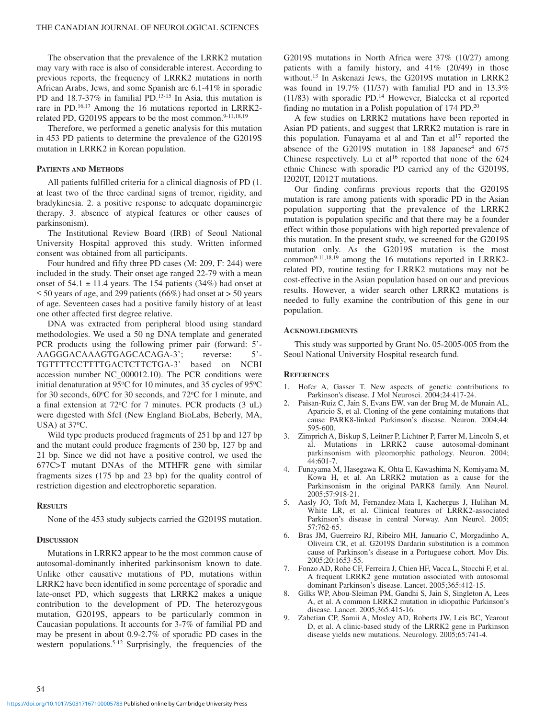The observation that the prevalence of the LRRK2 mutation may vary with race is also of considerable interest. According to previous reports, the frequency of LRRK2 mutations in north African Arabs, Jews, and some Spanish are 6.1-41% in sporadic PD and 18.7-37% in familial PD.<sup>13-15</sup> In Asia, this mutation is rare in PD.<sup>16,17</sup> Among the 16 mutations reported in LRRK2related PD, G2019S appears to be the most common.<sup>9-11,18,19</sup>

Therefore, we performed a genetic analysis for this mutation in 453 PD patients to determine the prevalence of the G2019S mutation in LRRK2 in Korean population.

#### **PATIENTS AND METHODS**

All patients fulfilled criteria for a clinical diagnosis of PD (1. at least two of the three cardinal signs of tremor, rigidity, and bradykinesia. 2. a positive response to adequate dopaminergic therapy. 3. absence of atypical features or other causes of parkinsonism).

The Institutional Review Board (IRB) of Seoul National University Hospital approved this study. Written informed consent was obtained from all participants.

Four hundred and fifty three PD cases (M: 209, F: 244) were included in the study. Their onset age ranged 22-79 with a mean onset of  $54.1 \pm 11.4$  years. The 154 patients (34%) had onset at ≤ 50 years of age, and 299 patients (66%) had onset at > 50 years of age. Seventeen cases had a positive family history of at least one other affected first degree relative.

DNA was extracted from peripheral blood using standard methodologies. We used a 50 ng DNA template and generated PCR products using the following primer pair (forward: 5'- AAGGGACAAAGTGAGCACAGA-3'; reverse: TGTTTTCCTTTTGACTCTTCTGA-3' based on NCBI accession number NC\_000012.10). The PCR conditions were initial denaturation at 95°C for 10 minutes, and 35 cycles of 95°C for 30 seconds,  $60^{\circ}$ C for 30 seconds, and  $72^{\circ}$ C for 1 minute, and a final extension at 72°C for 7 minutes. PCR products (3 uL) were digested with SfcI (New England BioLabs, Beberly, MA, USA) at  $37^{\circ}$ C.

Wild type products produced fragments of 251 bp and 127 bp and the mutant could produce fragments of 230 bp, 127 bp and 21 bp. Since we did not have a positive control, we used the 677C>T mutant DNAs of the MTHFR gene with similar fragments sizes (175 bp and 23 bp) for the quality control of restriction digestion and electrophoretic separation.

## **RESULTS**

None of the 453 study subjects carried the G2019S mutation.

## **DISCUSSION**

Mutations in LRRK2 appear to be the most common cause of autosomal-dominantly inherited parkinsonism known to date. Unlike other causative mutations of PD, mutations within LRRK2 have been identified in some percentage of sporadic and late-onset PD, which suggests that LRRK2 makes a unique contribution to the development of PD. The heterozygous mutation, G2019S, appears to be particularly common in Caucasian populations. It accounts for 3-7% of familial PD and may be present in about 0.9-2.7% of sporadic PD cases in the western populations.<sup>5-12</sup> Surprisingly, the frequencies of the G2019S mutations in North Africa were 37% (10/27) among patients with a family history, and 41% (20/49) in those without.13 In Askenazi Jews, the G2019S mutation in LRRK2 was found in 19.7% (11/37) with familial PD and in 13.3% (11/83) with sporadic PD.14 However, Bialecka et al reported finding no mutation in a Polish population of 174 PD.20

A few studies on LRRK2 mutations have been reported in Asian PD patients, and suggest that LRRK2 mutation is rare in this population. Funayama et al and Tan et  $al^{17}$  reported the absence of the G2019S mutation in 188 Japanese<sup>4</sup> and 675 Chinese respectively. Lu et al<sup>16</sup> reported that none of the  $624$ ethnic Chinese with sporadic PD carried any of the G2019S, I2020T, I2012T mutations.

Our finding confirms previous reports that the G2019S mutation is rare among patients with sporadic PD in the Asian population supporting that the prevalence of the LRRK2 mutation is population specific and that there may be a founder effect within those populations with high reported prevalence of this mutation. In the present study, we screened for the G2019S mutation only. As the G2019S mutation is the most common9-11,18,19 among the 16 mutations reported in LRRK2 related PD, routine testing for LRRK2 mutations may not be cost-effective in the Asian population based on our and previous results. However, a wider search other LRRK2 mutations is needed to fully examine the contribution of this gene in our population.

#### **ACKNOWLEDGMENTS**

This study was supported by Grant No. 05-2005-005 from the Seoul National University Hospital research fund.

## **REFERENCES**

- 1. Hofer A, Gasser T. New aspects of genetic contributions to Parkinson's disease. J Mol Neurosci. 2004;24:417-24.
- 2. Paisan-Ruiz C, Jain S, Evans EW, van der Brug M, de Munain AL, Aparicio S, et al. Cloning of the gene containing mutations that cause PARK8-linked Parkinson's disease. Neuron. 2004;44: 595-600.
- 3. Zimprich A, Biskup S, Leitner P, Lichtner P, Farrer M, Lincoln S, et al. Mutations in LRRK2 cause autosomal-dominant parkinsonism with pleomorphic pathology. Neuron. 2004; 44:601-7.
- 4. Funayama M, Hasegawa K, Ohta E, Kawashima N, Komiyama M, Kowa H, et al. An LRRK2 mutation as a cause for the Parkinsonism in the original PARK8 family. Ann Neurol. 2005;57:918-21.
- 5. Aasly JO, Toft M, Fernandez-Mata I, Kachergus J, Hulihan M, White LR, et al. Clinical features of LRRK2-associated Parkinson's disease in central Norway. Ann Neurol. 2005; 57:762-65.
- 6. Bras JM, Guerreiro RJ, Ribeiro MH, Januario C, Morgadinho A, Oliveira CR, et al. G2019S Dardarin substitution is a common cause of Parkinson's disease in a Portuguese cohort. Mov Dis. 2005;20:1653-55.
- 7. Fonzo AD, Rohe CF, Ferreira J, Chien HF, Vacca L, Stocchi F, et al. A frequent LRRK2 gene mutation associated with autosomal dominant Parkinson's disease. Lancet. 2005;365:412-15.
- 8. Gilks WP, Abou-Sleiman PM, Gandhi S, Jain S, Singleton A, Lees A, et al. A common LRRK2 mutation in idiopathic Parkinson's disease. Lancet. 2005;365:415-16.
- 9. Zabetian CP, Samii A, Mosley AD, Roberts JW, Leis BC, Yearout D, et al. A clinic-based study of the LRRK2 gene in Parkinson disease yields new mutations. Neurology. 2005;65:741-4.